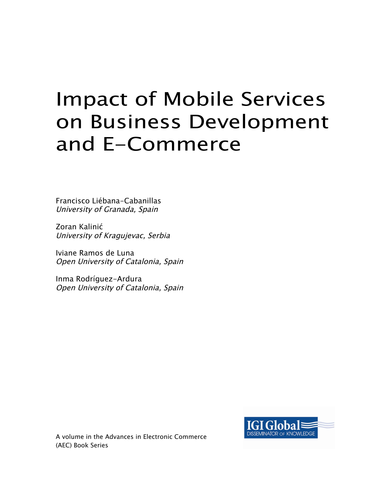# Impact of Mobile Services on Business Development and E-Commerce

Francisco Liébana-Cabanillas University of Granada, Spain

Zoran Kalinić University of Kragujevac, Serbia

Iviane Ramos de Luna Open University of Catalonia, Spain

Inma Rodríguez-Ardura Open University of Catalonia, Spain



A volume in the Advances in Electronic Commerce (AEC) Book Series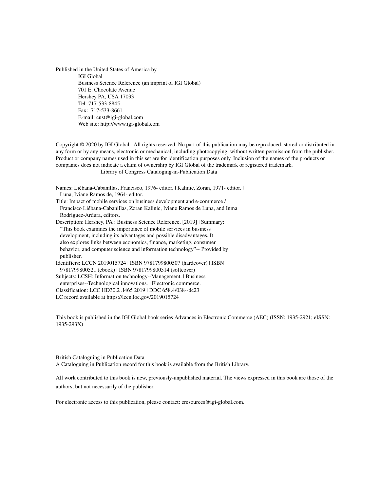Published in the United States of America by IGI Global Business Science Reference (an imprint of IGI Global) 701 E. Chocolate Avenue Hershey PA, USA 17033 Tel: 717-533-8845 Fax: 717-533-8661 E-mail: cust@igi-global.com Web site: http://www.igi-global.com

Copyright © 2020 by IGI Global. All rights reserved. No part of this publication may be reproduced, stored or distributed in any form or by any means, electronic or mechanical, including photocopying, without written permission from the publisher. Product or company names used in this set are for identification purposes only. Inclusion of the names of the products or companies does not indicate a claim of ownership by IGI Global of the trademark or registered trademark. Library of Congress Cataloging-in-Publication Data

Names: Liébana-Cabanillas, Francisco, 1976- editor. | Kalinic, Zoran, 1971- editor. | Luna, Iviane Ramos de, 1964- editor. Title: Impact of mobile services on business development and e-commerce / Francisco Liébana-Cabanillas, Zoran Kalinic, Iviane Ramos de Luna, and Inma Rodriguez-Ardura, editors.

Description: Hershey, PA : Business Science Reference, [2019] | Summary: "This book examines the importance of mobile services in business development, including its advantages and possible disadvantages. It also explores links between economics, finance, marketing, consumer behavior, and computer science and information technology"-- Provided by publisher. Identifiers: LCCN 2019015724 | ISBN 9781799800507 (hardcover) | ISBN 9781799800521 (ebook) | ISBN 9781799800514 (softcover)

Subjects: LCSH: Information technology--Management. | Business enterprises--Technological innovations. | Electronic commerce. Classification: LCC HD30.2 .I465 2019 | DDC 658.4/038--dc23 LC record available at https://lccn.loc.gov/2019015724

This book is published in the IGI Global book series Advances in Electronic Commerce (AEC) (ISSN: 1935-2921; eISSN: 1935-293X)

British Cataloguing in Publication Data A Cataloguing in Publication record for this book is available from the British Library.

All work contributed to this book is new, previously-unpublished material. The views expressed in this book are those of the authors, but not necessarily of the publisher.

For electronic access to this publication, please contact: eresources@igi-global.com.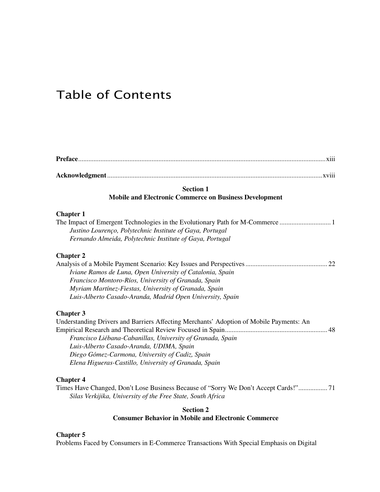### Table of Contents

| <b>Section 1</b>                                                                                                                                                                                                                                                                                                                  |  |  |  |  |
|-----------------------------------------------------------------------------------------------------------------------------------------------------------------------------------------------------------------------------------------------------------------------------------------------------------------------------------|--|--|--|--|
| <b>Mobile and Electronic Commerce on Business Development</b>                                                                                                                                                                                                                                                                     |  |  |  |  |
| <b>Chapter 1</b><br>Justino Lourenço, Polytechnic Institute of Gaya, Portugal<br>Fernando Almeida, Polytechnic Institute of Gaya, Portugal                                                                                                                                                                                        |  |  |  |  |
| <b>Chapter 2</b><br>Iviane Ramos de Luna, Open University of Catalonia, Spain<br>Francisco Montoro-Ríos, University of Granada, Spain<br>Myriam Martínez-Fiestas, University of Granada, Spain<br>Luis-Alberto Casado-Aranda, Madrid Open University, Spain                                                                       |  |  |  |  |
| <b>Chapter 3</b><br>Understanding Drivers and Barriers Affecting Merchants' Adoption of Mobile Payments: An<br>Francisco Liébana-Cabanillas, University of Granada, Spain<br>Luis-Alberto Casado-Aranda, UDIMA, Spain<br>Diego Gómez-Carmona, University of Cadiz, Spain<br>Elena Higueras-Castillo, University of Granada, Spain |  |  |  |  |
| <b>Chapter 4</b><br>Times Have Changed, Don't Lose Business Because of "Sorry We Don't Accept Cards!" 71<br>Silas Verkijika, University of the Free State, South Africa<br><b>Section 2</b>                                                                                                                                       |  |  |  |  |
| <b>Consumer Behavior in Mobile and Electronic Commerce</b>                                                                                                                                                                                                                                                                        |  |  |  |  |

#### **Chapter 5**

Problems Faced by Consumers in E-Commerce Transactions With Special Emphasis on Digital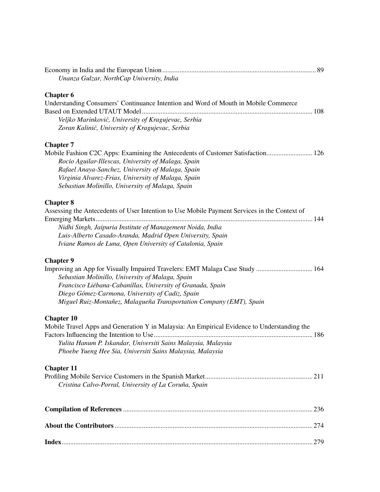| Unanza Gulzar, NorthCap University, India                                                    |  |
|----------------------------------------------------------------------------------------------|--|
| <b>Chapter 6</b>                                                                             |  |
| Understanding Consumers' Continuance Intention and Word of Mouth in Mobile Commerce          |  |
|                                                                                              |  |
| Veljko Marinković, University of Kragujevac, Serbia                                          |  |
| Zoran Kalinić, University of Kragujevac, Serbia                                              |  |
| <b>Chapter 7</b>                                                                             |  |
| Mobile Fashion C2C Apps: Examining the Antecedents of Customer Satisfaction 126              |  |
| Rocío Aguilar-Illescas, University of Malaga, Spain                                          |  |
| Rafael Anaya-Sanchez, University of Malaga, Spain                                            |  |
| Virginia Alvarez-Frias, University of Malaga, Spain                                          |  |
| Sebastian Molinillo, University of Malaga, Spain                                             |  |
| <b>Chapter 8</b>                                                                             |  |
| Assessing the Antecedents of User Intention to Use Mobile Payment Services in the Context of |  |
|                                                                                              |  |
| Nidhi Singh, Jaipuria Institute of Management Noida, India                                   |  |
| Luis-Alberto Casado-Aranda, Madrid Open University, Spain                                    |  |
| Iviane Ramos de Luna, Open University of Catalonia, Spain                                    |  |
| <b>Chapter 9</b>                                                                             |  |
| Improving an App for Visually Impaired Travelers: EMT Malaga Case Study  164                 |  |
| Sebastian Molinillo, University of Malaga, Spain                                             |  |
| Francisco Liébana-Cabanillas, University of Granada, Spain                                   |  |
| Diego Gómez-Carmona, University of Cadiz, Spain                                              |  |
| Miguel Ruiz-Montañez, Malagueña Transportation Company (EMT), Spain                          |  |
| <b>Chapter 10</b>                                                                            |  |
| Mobile Travel Apps and Generation Y in Malaysia: An Empirical Evidence to Understanding the  |  |
|                                                                                              |  |
| Yulita Hanum P. Iskandar, Universiti Sains Malaysia, Malaysia                                |  |
| Phoebe Yueng Hee Sia, Universiti Sains Malaysia, Malaysia                                    |  |
| <b>Chapter 11</b>                                                                            |  |
|                                                                                              |  |
| Cristina Calvo-Porral, University of La Coruña, Spain                                        |  |
|                                                                                              |  |
|                                                                                              |  |
|                                                                                              |  |
|                                                                                              |  |
|                                                                                              |  |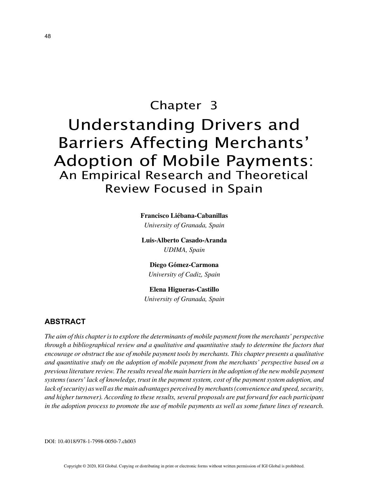## Chapter 3 Understanding Drivers and Barriers Affecting Merchants' Adoption of Mobile Payments: An Empirical Research and Theoretical Review Focused in Spain

**Francisco Liébana-Cabanillas**

*University of Granada, Spain*

**Luis-Alberto Casado-Aranda** *UDIMA, Spain*

**Diego Gómez-Carmona** *University of Cadiz, Spain*

**Elena Higueras-Castillo**

*University of Granada, Spain*

#### **ABSTRACT**

*The aim of this chapter is to explore the determinants of mobile payment from the merchants' perspective through a bibliographical review and a qualitative and quantitative study to determine the factors that encourage or obstruct the use of mobile payment tools by merchants. This chapter presents a qualitative and quantitative study on the adoption of mobile payment from the merchants' perspective based on a previous literature review. The results reveal the main barriers in the adoption of the new mobile payment systems (users' lack of knowledge, trust in the payment system, cost of the payment system adoption, and lack of security) as well as the main advantages perceived by merchants (convenience and speed, security, and higher turnover). According to these results, several proposals are put forward for each participant in the adoption process to promote the use of mobile payments as well as some future lines of research.*

DOI: 10.4018/978-1-7998-0050-7.ch003